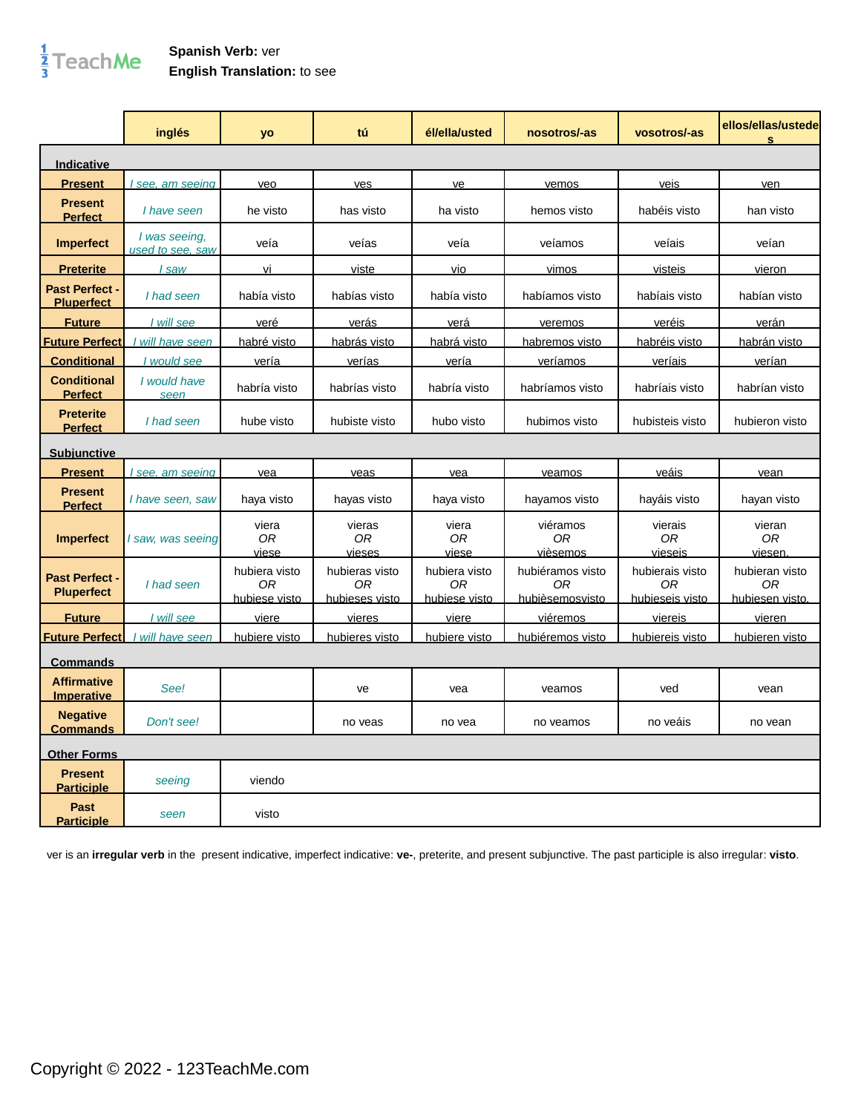## $\frac{1}{3}$ TeachMe

## **Spanish Verb:** ver **English Translation:** to see

|                                            | inglés                            | <b>yo</b>                            | tú                                     | él/ella/usted                        | nosotros/-as                              | vosotros/-as                             | ellos/ellas/ustede<br>S                 |
|--------------------------------------------|-----------------------------------|--------------------------------------|----------------------------------------|--------------------------------------|-------------------------------------------|------------------------------------------|-----------------------------------------|
| Indicative                                 |                                   |                                      |                                        |                                      |                                           |                                          |                                         |
| <b>Present</b>                             | see, am seeing                    | veo                                  | ves                                    | ve                                   | vemos                                     | <u>veis</u>                              | ven                                     |
| <b>Present</b><br><b>Perfect</b>           | I have seen                       | he visto                             | has visto                              | ha visto                             | hemos visto                               | habéis visto                             | han visto                               |
| <b>Imperfect</b>                           | I was seeing.<br>used to see, saw | veía                                 | veías                                  | veía                                 | veíamos                                   | veíais                                   | veían                                   |
| <b>Preterite</b>                           | I saw                             | vi                                   | viste                                  | vio                                  | vimos                                     | visteis                                  | vieron                                  |
| <b>Past Perfect -</b><br><b>Pluperfect</b> | I had seen                        | había visto                          | habías visto                           | había visto                          | habíamos visto                            | habíais visto                            | habían visto                            |
| <b>Future</b>                              | I will see                        | veré                                 | verás                                  | verá                                 | veremos                                   | veréis                                   | verán                                   |
| <b>Future Perfect</b>                      | will have seen                    | habré visto                          | habrás visto                           | habrá visto                          | habremos visto                            | habréis visto                            | habrán visto                            |
| <b>Conditional</b>                         | I would see                       | vería                                | verías                                 | vería                                | veríamos                                  | veríais                                  | verían                                  |
| <b>Conditional</b><br><b>Perfect</b>       | I would have<br>seen              | habría visto                         | habrías visto                          | habría visto                         | habríamos visto                           | habríais visto                           | habrían visto                           |
| <b>Preterite</b><br><b>Perfect</b>         | I had seen                        | hube visto                           | hubiste visto                          | hubo visto                           | hubimos visto                             | hubisteis visto                          | hubieron visto                          |
| <b>Subjunctive</b>                         |                                   |                                      |                                        |                                      |                                           |                                          |                                         |
| <b>Present</b>                             | see, am seeing                    | vea                                  | veas                                   | vea                                  | veamos                                    | veáis                                    | vean                                    |
| <b>Present</b><br><b>Perfect</b>           | I have seen, saw                  | haya visto                           | hayas visto                            | haya visto                           | hayamos visto                             | hayáis visto                             | hayan visto                             |
| <b>Imperfect</b>                           | I saw, was seeing                 | viera<br>0R<br>viese                 | vieras<br>0R<br>vieses                 | viera<br>0R<br>viese                 | viéramos<br>0R<br>vièsemos                | vierais<br>0R<br>vieseis                 | vieran<br>0R<br>viesen.                 |
| <b>Past Perfect -</b><br><b>Pluperfect</b> | I had seen                        | hubiera visto<br>0R<br>hubiese visto | hubieras visto<br>ΟR<br>hubieses visto | hubiera visto<br>0R<br>hubiese visto | hubiéramos visto<br>0R<br>hubièsemosvisto | hubierais visto<br>0R<br>hubieseis visto | hubieran visto<br>ΟR<br>hubiesen visto. |
| <b>Future</b>                              | I will see                        | viere                                | vieres                                 | viere                                | viéremos                                  | viereis                                  | vieren                                  |
| <b>Future Perfect</b>                      | I will have seen                  | hubiere visto                        | hubieres visto                         | hubiere visto                        | hubiéremos visto                          | hubiereis visto                          | hubieren visto                          |
| <b>Commands</b>                            |                                   |                                      |                                        |                                      |                                           |                                          |                                         |
| <b>Affirmative</b><br><b>Imperative</b>    | See!                              |                                      | ve                                     | vea                                  | veamos                                    | ved                                      | vean                                    |
| <b>Negative</b><br><b>Commands</b>         | Don't see!                        |                                      | no veas                                | no vea                               | no veamos                                 | no veáis                                 | no vean                                 |
| <b>Other Forms</b>                         |                                   |                                      |                                        |                                      |                                           |                                          |                                         |
| <b>Present</b><br><b>Participle</b>        | seeing                            | viendo                               |                                        |                                      |                                           |                                          |                                         |
| <b>Past</b><br><b>Participle</b>           | seen                              | visto                                |                                        |                                      |                                           |                                          |                                         |

ver is an **irregular verb** in the present indicative, imperfect indicative: **ve-**, preterite, and present subjunctive. The past participle is also irregular: **visto**.